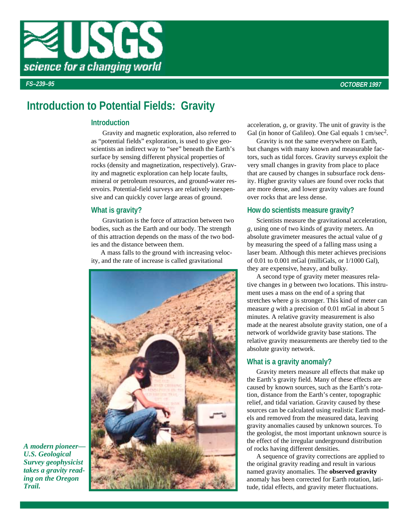

# **Introduction to Potential Fields: Gravity**

# **Introduction**

Gravity and magnetic exploration, also referred to as "potential fields" exploration, is used to give geoscientists an indirect way to "see" beneath the Earth's surface by sensing different physical properties of rocks (density and magnetization, respectively). Gravity and magnetic exploration can help locate faults, mineral or petroleum resources, and ground-water reservoirs. Potential-field surveys are relatively inexpensive and can quickly cover large areas of ground.

# **What is gravity?**

Gravitation is the force of attraction between two bodies, such as the Earth and our body. The strength of this attraction depends on the mass of the two bodies and the distance between them.

 A mass falls to the ground with increasing velocity, and the rate of increase is called gravitational



acceleration, *g*, or gravity. The unit of gravity is the Gal (in honor of Galileo). One Gal equals 1 cm/sec<sup>2</sup>.

 Gravity is not the same everywhere on Earth, but changes with many known and measurable factors, such as tidal forces. Gravity surveys exploit the very small changes in gravity from place to place that are caused by changes in subsurface rock density. Higher gravity values are found over rocks that are more dense, and lower gravity values are found over rocks that are less dense.

## **How do scientists measure gravity?**

 Scientists measure the gravitational acceleration, *g*, using one of two kinds of gravity meters. An absolute gravimeter measures the actual value of *g* by measuring the speed of a falling mass using a laser beam. Although this meter achieves precisions of 0.01 to 0.001 mGal (milliGals, or 1/1000 Gal), they are expensive, heavy, and bulky.

 A second type of gravity meter measures relative changes in *g* between two locations. This instrument uses a mass on the end of a spring that stretches where *g* is stronger. This kind of meter can measure *g* with a precision of 0.01 mGal in about 5 minutes. A relative gravity measurement is also made at the nearest absolute gravity station, one of a network of worldwide gravity base stations. The relative gravity measurements are thereby tied to the absolute gravity network.

## **What is a gravity anomaly?**

 Gravity meters measure all effects that make up the Earth's gravity field. Many of these effects are caused by known sources, such as the Earth's rotation, distance from the Earth's center, topographic relief, and tidal variation. Gravity caused by these sources can be calculated using realistic Earth models and removed from the measured data, leaving gravity anomalies caused by unknown sources. To the geologist, the most important unknown source is the effect of the irregular underground distribution of rocks having different densities.

 A sequence of gravity corrections are applied to the original gravity reading and result in various named gravity anomalies. The **observed gravity** anomaly has been corrected for Earth rotation, latitude, tidal effects, and gravity meter fluctuations.

*A modern pioneer— U.S. Geological Survey geophysicist takes a gravity read ing on the Oregon Trail.*